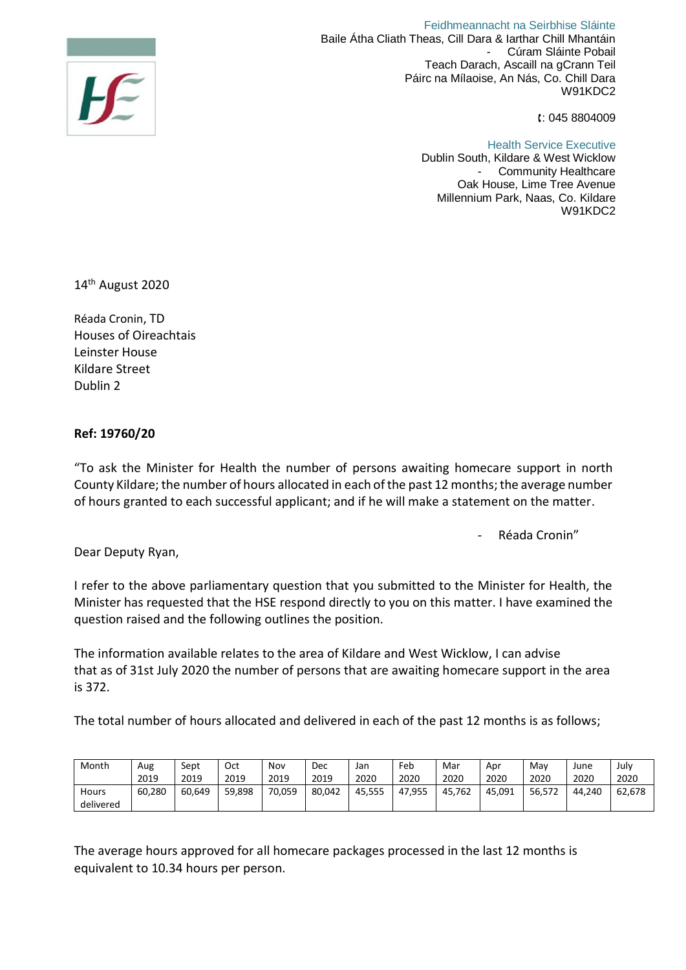

 Feidhmeannacht na Seirbhise Sláinte Baile Átha Cliath Theas, Cill Dara & Iarthar Chill Mhantáin Cúram Sláinte Pobail Teach Darach, Ascaill na gCrann Teil Páirc na Mílaoise, An Nás, Co. Chill Dara W91KDC2

: 045 8804009

Health Service Executive Dublin South, Kildare & West Wicklow Community Healthcare Oak House, Lime Tree Avenue Millennium Park, Naas, Co. Kildare W91KDC2

14<sup>th</sup> August 2020

Réada Cronin, TD Houses of Oireachtais Leinster House Kildare Street Dublin 2

## **Ref: 19760/20**

"To ask the Minister for Health the number of persons awaiting homecare support in north County Kildare; the number of hours allocated in each of the past 12 months; the average number of hours granted to each successful applicant; and if he will make a statement on the matter.

Réada Cronin"

Dear Deputy Ryan,

I refer to the above parliamentary question that you submitted to the Minister for Health, the Minister has requested that the HSE respond directly to you on this matter. I have examined the question raised and the following outlines the position.

The information available relates to the area of Kildare and West Wicklow, I can advise that as of 31st July 2020 the number of persons that are awaiting homecare support in the area is 372.

The total number of hours allocated and delivered in each of the past 12 months is as follows;

| Month     | Aug    | Sept   | Oct    | Nov    | Dec    | Jan    | Feb    | Mar        | Apr    | Mav    | June   | July   |
|-----------|--------|--------|--------|--------|--------|--------|--------|------------|--------|--------|--------|--------|
|           | 2019   | 2019   | 2019   | 2019   | 2019   | 2020   | 2020   | 2020       | 2020   | 2020   | 2020   | 2020   |
| Hours     | 60,280 | 60.649 | 59,898 | 70.059 | 80.042 | 45.555 | 47,955 | 762<br>45. | 45.091 | 56.572 | 44.240 | 62,678 |
| delivered |        |        |        |        |        |        |        |            |        |        |        |        |

The average hours approved for all homecare packages processed in the last 12 months is equivalent to 10.34 hours per person.